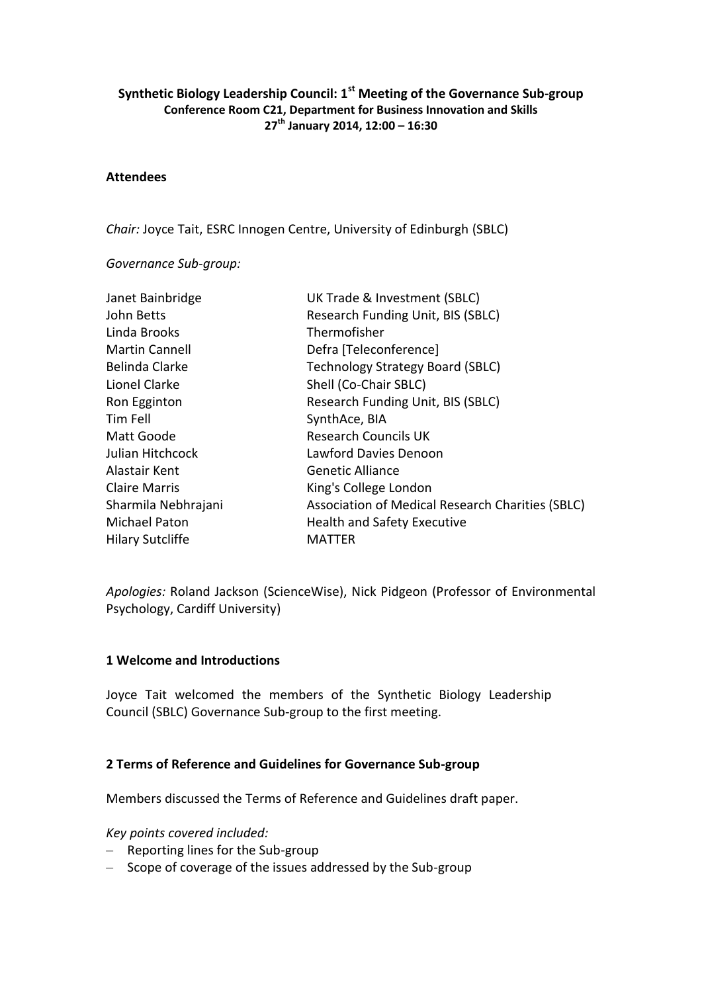### **Synthetic Biology Leadership Council: 1st Meeting of the Governance Sub-group Conference Room C21, Department for Business Innovation and Skills 27th January 2014, 12:00 – 16:30**

#### **Attendees**

*Chair:* Joyce Tait, ESRC Innogen Centre, University of Edinburgh (SBLC)

*Governance Sub-group:*

| Janet Bainbridge        | UK Trade & Investment (SBLC)                     |
|-------------------------|--------------------------------------------------|
| John Betts              | Research Funding Unit, BIS (SBLC)                |
| Linda Brooks            | Thermofisher                                     |
| <b>Martin Cannell</b>   | Defra [Teleconference]                           |
| Belinda Clarke          | <b>Technology Strategy Board (SBLC)</b>          |
| Lionel Clarke           | Shell (Co-Chair SBLC)                            |
| Ron Egginton            | Research Funding Unit, BIS (SBLC)                |
| Tim Fell                | SynthAce, BIA                                    |
| Matt Goode              | <b>Research Councils UK</b>                      |
| Julian Hitchcock        | <b>Lawford Davies Denoon</b>                     |
| Alastair Kent           | <b>Genetic Alliance</b>                          |
| <b>Claire Marris</b>    | King's College London                            |
| Sharmila Nebhrajani     | Association of Medical Research Charities (SBLC) |
| <b>Michael Paton</b>    | <b>Health and Safety Executive</b>               |
| <b>Hilary Sutcliffe</b> | MATTER                                           |
|                         |                                                  |

*Apologies:* Roland Jackson (ScienceWise), Nick Pidgeon (Professor of Environmental Psychology, Cardiff University)

#### **1 Welcome and Introductions**

Joyce Tait welcomed the members of the Synthetic Biology Leadership Council (SBLC) Governance Sub-group to the first meeting.

#### **2 Terms of Reference and Guidelines for Governance Sub-group**

Members discussed the Terms of Reference and Guidelines draft paper.

*Key points covered included:*

- Reporting lines for the Sub-group
- Scope of coverage of the issues addressed by the Sub-group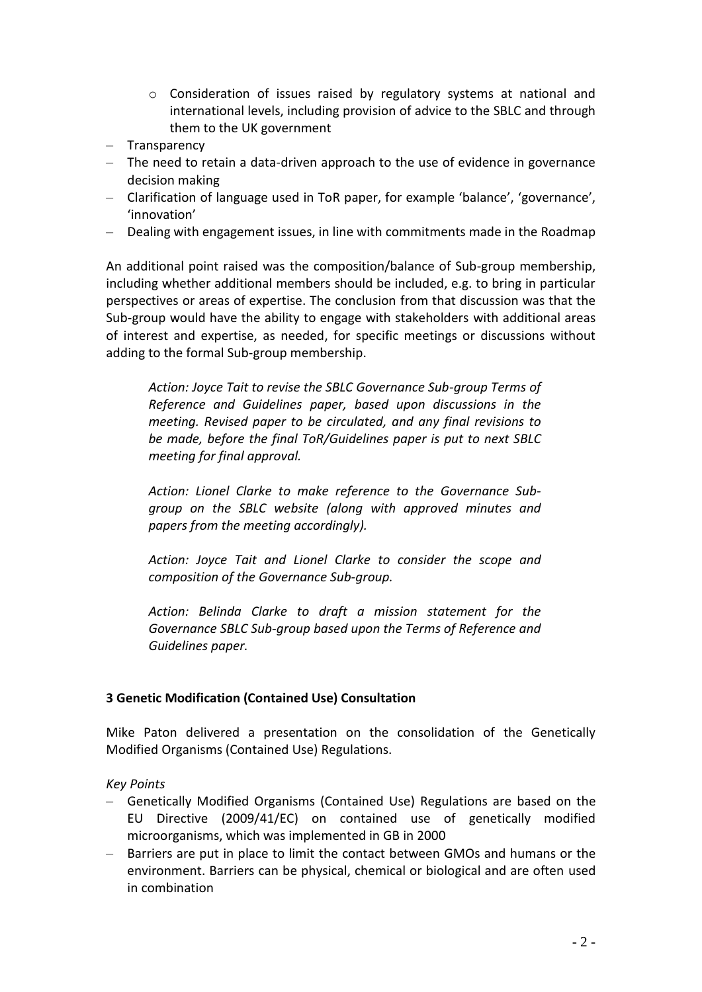- o Consideration of issues raised by regulatory systems at national and international levels, including provision of advice to the SBLC and through them to the UK government
- Transparency
- The need to retain a data-driven approach to the use of evidence in governance decision making
- Clarification of language used in ToR paper, for example 'balance', 'governance', 'innovation'
- Dealing with engagement issues, in line with commitments made in the Roadmap

An additional point raised was the composition/balance of Sub-group membership, including whether additional members should be included, e.g. to bring in particular perspectives or areas of expertise. The conclusion from that discussion was that the Sub-group would have the ability to engage with stakeholders with additional areas of interest and expertise, as needed, for specific meetings or discussions without adding to the formal Sub-group membership.

*Action: Joyce Tait to revise the SBLC Governance Sub-group Terms of Reference and Guidelines paper, based upon discussions in the meeting. Revised paper to be circulated, and any final revisions to be made, before the final ToR/Guidelines paper is put to next SBLC meeting for final approval.*

*Action: Lionel Clarke to make reference to the Governance Subgroup on the SBLC website (along with approved minutes and papers from the meeting accordingly).*

*Action: Joyce Tait and Lionel Clarke to consider the scope and composition of the Governance Sub-group.*

*Action: Belinda Clarke to draft a mission statement for the Governance SBLC Sub-group based upon the Terms of Reference and Guidelines paper.*

### **3 Genetic Modification (Contained Use) Consultation**

Mike Paton delivered a presentation on the consolidation of the Genetically Modified Organisms (Contained Use) Regulations.

*Key Points*

- Genetically Modified Organisms (Contained Use) Regulations are based on the EU Directive (2009/41/EC) on contained use of genetically modified microorganisms, which was implemented in GB in 2000
- Barriers are put in place to limit the contact between GMOs and humans or the environment. Barriers can be physical, chemical or biological and are often used in combination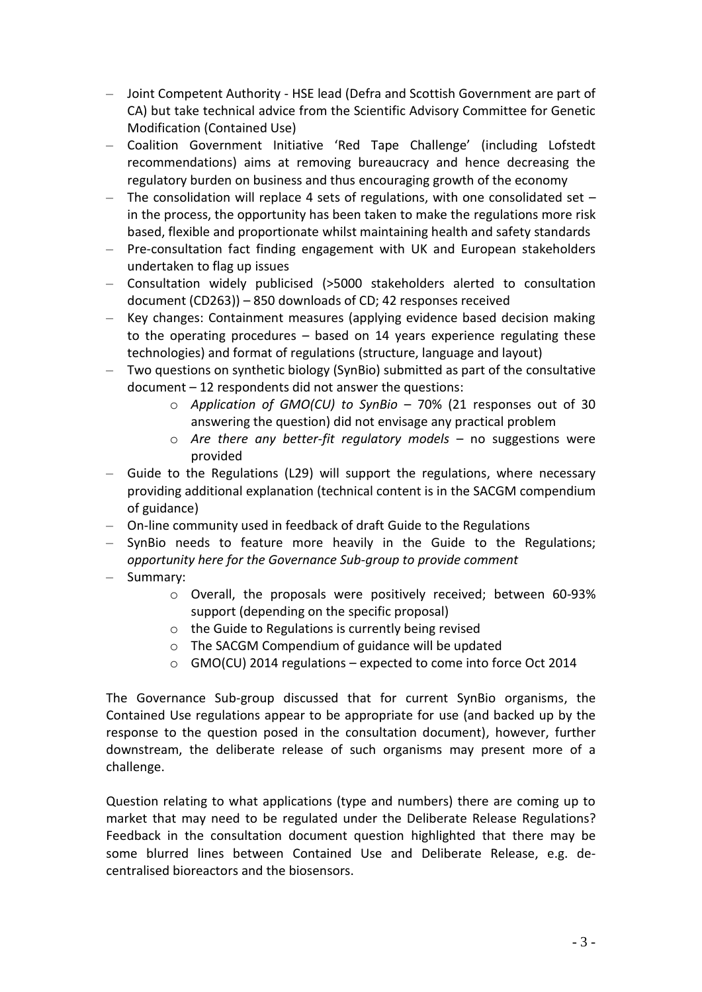- Joint Competent Authority HSE lead (Defra and Scottish Government are part of CA) but take technical advice from the Scientific Advisory Committee for Genetic Modification (Contained Use)
- Coalition Government Initiative 'Red Tape Challenge' (including Lofstedt recommendations) aims at removing bureaucracy and hence decreasing the regulatory burden on business and thus encouraging growth of the economy
- $-$  The consolidation will replace 4 sets of regulations, with one consolidated set  $$ in the process, the opportunity has been taken to make the regulations more risk based, flexible and proportionate whilst maintaining health and safety standards
- Pre-consultation fact finding engagement with UK and European stakeholders undertaken to flag up issues
- Consultation widely publicised (>5000 stakeholders alerted to consultation document (CD263)) – 850 downloads of CD; 42 responses received
- Key changes: Containment measures (applying evidence based decision making to the operating procedures – based on 14 years experience regulating these technologies) and format of regulations (structure, language and layout)
- Two questions on synthetic biology (SynBio) submitted as part of the consultative document – 12 respondents did not answer the questions:
	- o *Application of GMO(CU) to SynBio* 70% (21 responses out of 30 answering the question) did not envisage any practical problem
	- o *Are there any better-fit regulatory models* no suggestions were provided
- Guide to the Regulations (L29) will support the regulations, where necessary providing additional explanation (technical content is in the SACGM compendium of guidance)
- On-line community used in feedback of draft Guide to the Regulations
- SynBio needs to feature more heavily in the Guide to the Regulations; *opportunity here for the Governance Sub-group to provide comment*
- Summary:
	- o Overall, the proposals were positively received; between 60-93% support (depending on the specific proposal)
	- o the Guide to Regulations is currently being revised
	- o The SACGM Compendium of guidance will be updated
	- o GMO(CU) 2014 regulations expected to come into force Oct 2014

The Governance Sub-group discussed that for current SynBio organisms, the Contained Use regulations appear to be appropriate for use (and backed up by the response to the question posed in the consultation document), however, further downstream, the deliberate release of such organisms may present more of a challenge.

Question relating to what applications (type and numbers) there are coming up to market that may need to be regulated under the Deliberate Release Regulations? Feedback in the consultation document question highlighted that there may be some blurred lines between Contained Use and Deliberate Release, e.g. decentralised bioreactors and the biosensors.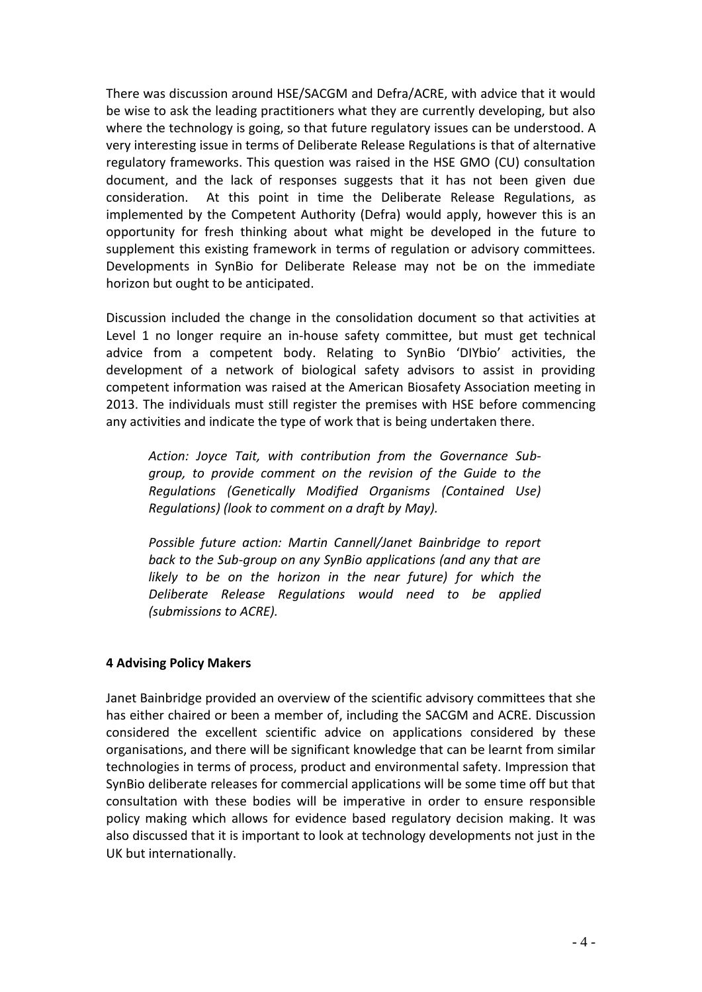There was discussion around HSE/SACGM and Defra/ACRE, with advice that it would be wise to ask the leading practitioners what they are currently developing, but also where the technology is going, so that future regulatory issues can be understood. A very interesting issue in terms of Deliberate Release Regulations is that of alternative regulatory frameworks. This question was raised in the HSE GMO (CU) consultation document, and the lack of responses suggests that it has not been given due consideration. At this point in time the Deliberate Release Regulations, as implemented by the Competent Authority (Defra) would apply, however this is an opportunity for fresh thinking about what might be developed in the future to supplement this existing framework in terms of regulation or advisory committees. Developments in SynBio for Deliberate Release may not be on the immediate horizon but ought to be anticipated.

Discussion included the change in the consolidation document so that activities at Level 1 no longer require an in-house safety committee, but must get technical advice from a competent body. Relating to SynBio 'DIYbio' activities, the development of a network of biological safety advisors to assist in providing competent information was raised at the American Biosafety Association meeting in 2013. The individuals must still register the premises with HSE before commencing any activities and indicate the type of work that is being undertaken there.

*Action: Joyce Tait, with contribution from the Governance Subgroup, to provide comment on the revision of the Guide to the Regulations (Genetically Modified Organisms (Contained Use) Regulations) (look to comment on a draft by May).*

*Possible future action: Martin Cannell/Janet Bainbridge to report back to the Sub-group on any SynBio applications (and any that are likely to be on the horizon in the near future) for which the Deliberate Release Regulations would need to be applied (submissions to ACRE).*

### **4 Advising Policy Makers**

Janet Bainbridge provided an overview of the scientific advisory committees that she has either chaired or been a member of, including the SACGM and ACRE. Discussion considered the excellent scientific advice on applications considered by these organisations, and there will be significant knowledge that can be learnt from similar technologies in terms of process, product and environmental safety. Impression that SynBio deliberate releases for commercial applications will be some time off but that consultation with these bodies will be imperative in order to ensure responsible policy making which allows for evidence based regulatory decision making. It was also discussed that it is important to look at technology developments not just in the UK but internationally.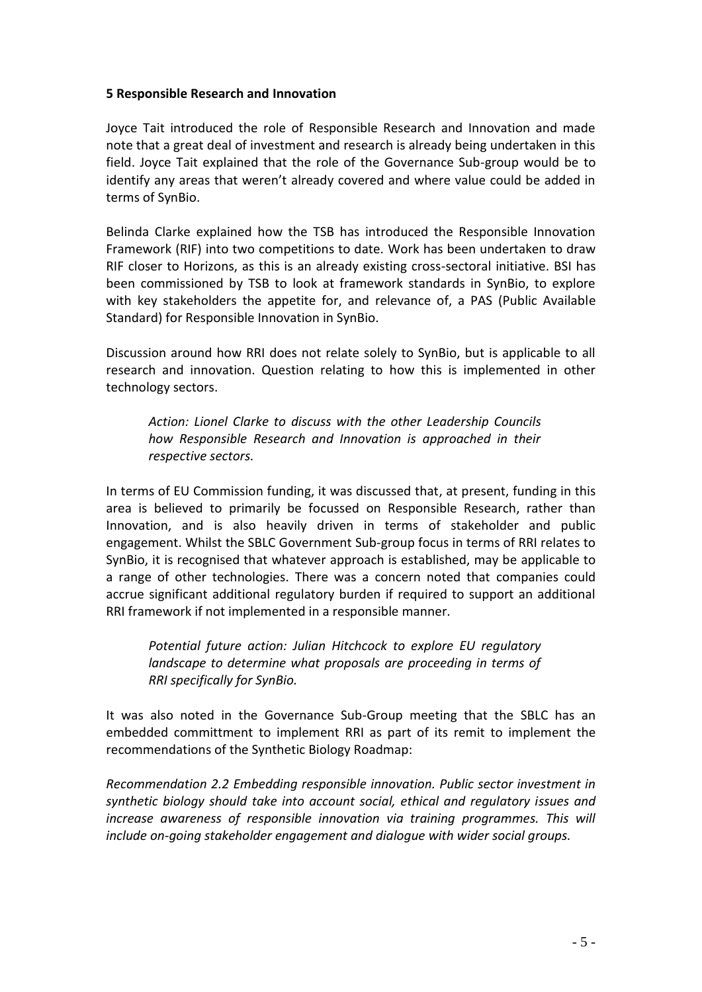#### **5 Responsible Research and Innovation**

Joyce Tait introduced the role of Responsible Research and Innovation and made note that a great deal of investment and research is already being undertaken in this field. Joyce Tait explained that the role of the Governance Sub-group would be to identify any areas that weren't already covered and where value could be added in terms of SynBio.

Belinda Clarke explained how the TSB has introduced the Responsible Innovation Framework (RIF) into two competitions to date. Work has been undertaken to draw RIF closer to Horizons, as this is an already existing cross-sectoral initiative. BSI has been commissioned by TSB to look at framework standards in SynBio, to explore with key stakeholders the appetite for, and relevance of, a PAS (Public Available Standard) for Responsible Innovation in SynBio.

Discussion around how RRI does not relate solely to SynBio, but is applicable to all research and innovation. Question relating to how this is implemented in other technology sectors.

*Action: Lionel Clarke to discuss with the other Leadership Councils how Responsible Research and Innovation is approached in their respective sectors.*

In terms of EU Commission funding, it was discussed that, at present, funding in this area is believed to primarily be focussed on Responsible Research, rather than Innovation, and is also heavily driven in terms of stakeholder and public engagement. Whilst the SBLC Government Sub-group focus in terms of RRI relates to SynBio, it is recognised that whatever approach is established, may be applicable to a range of other technologies. There was a concern noted that companies could accrue significant additional regulatory burden if required to support an additional RRI framework if not implemented in a responsible manner.

*Potential future action: Julian Hitchcock to explore EU regulatory landscape to determine what proposals are proceeding in terms of RRI specifically for SynBio.*

It was also noted in the Governance Sub-Group meeting that the SBLC has an embedded committment to implement RRI as part of its remit to implement the recommendations of the Synthetic Biology Roadmap:

*Recommendation 2.2 Embedding responsible innovation. Public sector investment in synthetic biology should take into account social, ethical and regulatory issues and increase awareness of responsible innovation via training programmes. This will include on-going stakeholder engagement and dialogue with wider social groups.*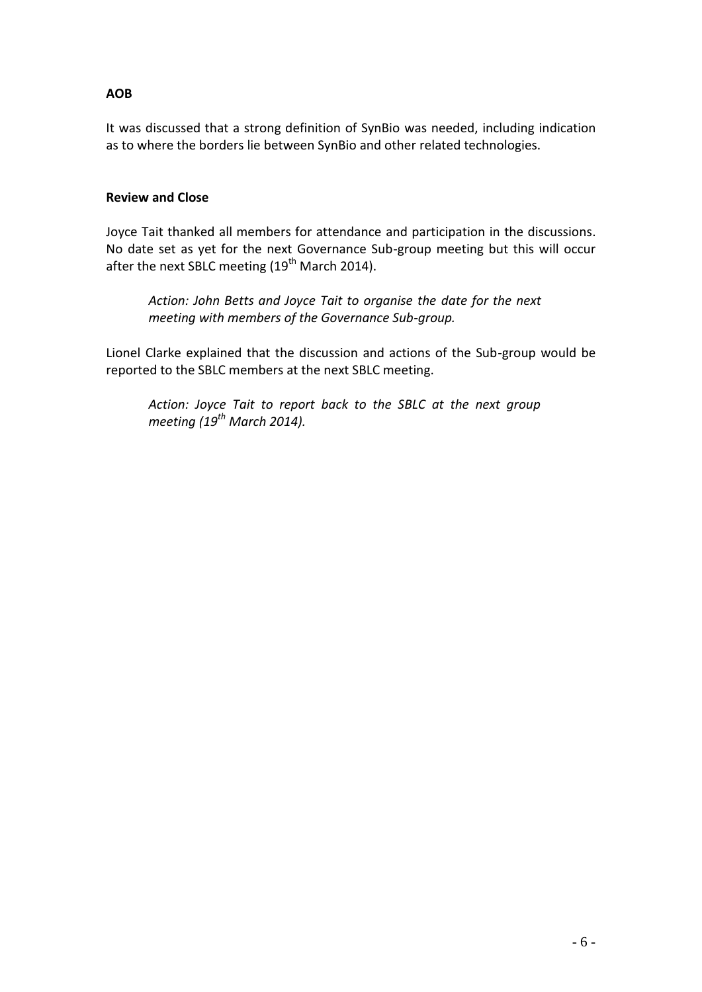## **AOB**

It was discussed that a strong definition of SynBio was needed, including indication as to where the borders lie between SynBio and other related technologies.

#### **Review and Close**

Joyce Tait thanked all members for attendance and participation in the discussions. No date set as yet for the next Governance Sub-group meeting but this will occur after the next SBLC meeting  $(19<sup>th</sup>$  March 2014).

*Action: John Betts and Joyce Tait to organise the date for the next meeting with members of the Governance Sub-group.*

Lionel Clarke explained that the discussion and actions of the Sub-group would be reported to the SBLC members at the next SBLC meeting.

*Action: Joyce Tait to report back to the SBLC at the next group meeting (19th March 2014).*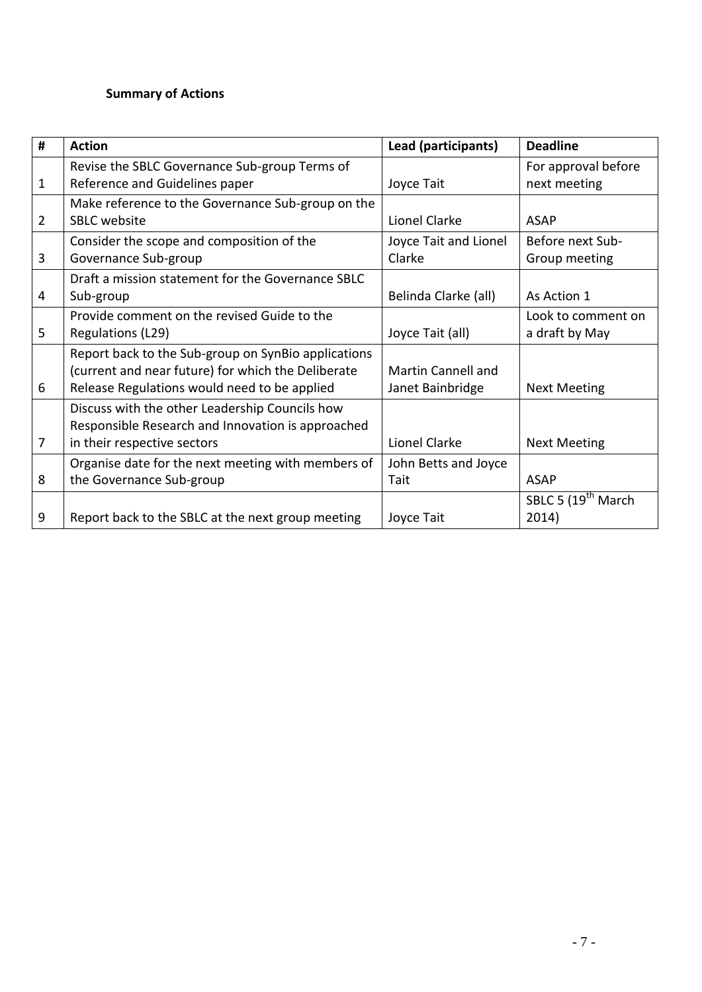# **Summary of Actions**

| #              | <b>Action</b>                                                                                                                                             | Lead (participants)                    | <b>Deadline</b>                         |
|----------------|-----------------------------------------------------------------------------------------------------------------------------------------------------------|----------------------------------------|-----------------------------------------|
| 1              | Revise the SBLC Governance Sub-group Terms of<br>Reference and Guidelines paper                                                                           | Joyce Tait                             | For approval before<br>next meeting     |
| $\overline{2}$ | Make reference to the Governance Sub-group on the<br><b>SBLC</b> website                                                                                  | Lionel Clarke                          | <b>ASAP</b>                             |
| 3              | Consider the scope and composition of the<br>Governance Sub-group                                                                                         | Joyce Tait and Lionel<br>Clarke        | Before next Sub-<br>Group meeting       |
| 4              | Draft a mission statement for the Governance SBLC<br>Sub-group                                                                                            | Belinda Clarke (all)                   | As Action 1                             |
| 5              | Provide comment on the revised Guide to the<br>Regulations (L29)                                                                                          | Joyce Tait (all)                       | Look to comment on<br>a draft by May    |
| 6              | Report back to the Sub-group on SynBio applications<br>(current and near future) for which the Deliberate<br>Release Regulations would need to be applied | Martin Cannell and<br>Janet Bainbridge | <b>Next Meeting</b>                     |
| 7              | Discuss with the other Leadership Councils how<br>Responsible Research and Innovation is approached<br>in their respective sectors                        | Lionel Clarke                          | <b>Next Meeting</b>                     |
| 8              | Organise date for the next meeting with members of<br>the Governance Sub-group                                                                            | John Betts and Joyce<br>Tait           | <b>ASAP</b>                             |
| 9              | Report back to the SBLC at the next group meeting                                                                                                         | Joyce Tait                             | SBLC 5 (19 <sup>th</sup> March<br>2014) |